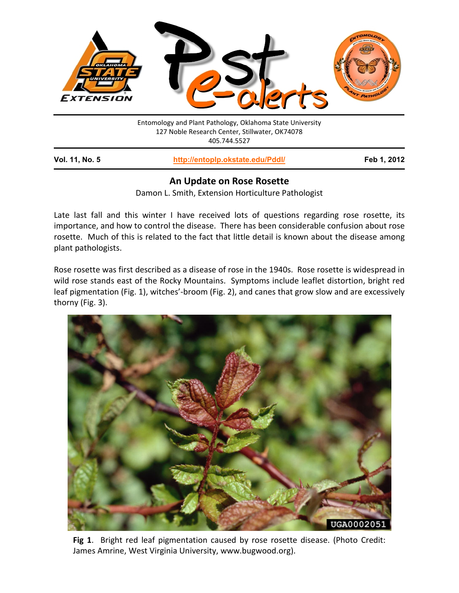

## **An Update on Rose Rosette**

Damon L. Smith, Extension Horticulture Pathologist

Late last fall and this winter I have received lots of questions regarding rose rosette, its importance, and how to control the disease. There has been considerable confusion about rose rosette. Much of this is related to the fact that little detail is known about the disease among plant pathologists.

Rose rosette was first described as a disease of rose in the 1940s. Rose rosette is widespread in wild rose stands east of the Rocky Mountains. Symptoms include leaflet distortion, bright red leaf pigmentation (Fig. 1), witches'-broom (Fig. 2), and canes that grow slow and are excessively thorny (Fig. 3).



**Fig 1**. Bright red leaf pigmentation caused by rose rosette disease. (Photo Credit: James Amrine, West Virginia University, www.bugwood.org).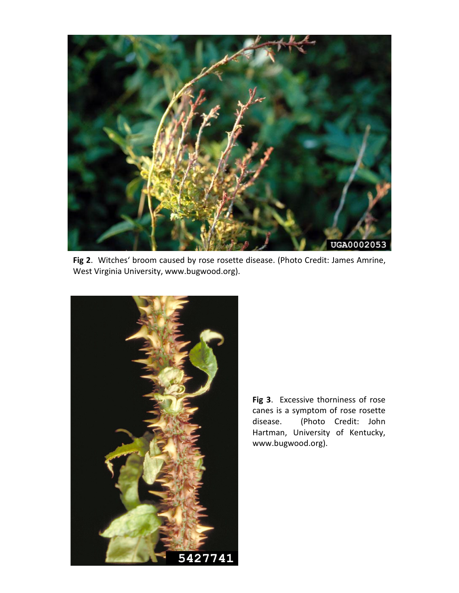

**Fig 2**. Witches' broom caused by rose rosette disease. (Photo Credit: James Amrine, West Virginia University, www.bugwood.org).



**Fig 3**. Excessive thorniness of rose canes is a symptom of rose rosette disease. (Photo Credit: John Hartman, University of Kentucky, www.bugwood.org).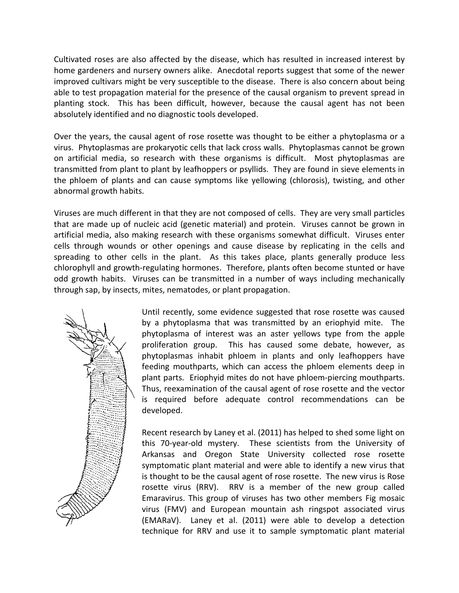Cultivated roses are also affected by the disease, which has resulted in increased interest by home gardeners and nursery owners alike. Anecdotal reports suggest that some of the newer improved cultivars might be very susceptible to the disease. There is also concern about being able to test propagation material for the presence of the causal organism to prevent spread in planting stock. This has been difficult, however, because the causal agent has not been absolutely identified and no diagnostic tools developed.

Over the years, the causal agent of rose rosette was thought to be either a phytoplasma or a virus. Phytoplasmas are prokaryotic cells that lack cross walls. Phytoplasmas cannot be grown on artificial media, so research with these organisms is difficult. Most phytoplasmas are transmitted from plant to plant by leafhoppers or psyllids. They are found in sieve elements in the phloem of plants and can cause symptoms like yellowing (chlorosis), twisting, and other abnormal growth habits.

Viruses are much different in that they are not composed of cells. They are very small particles that are made up of nucleic acid (genetic material) and protein. Viruses cannot be grown in artificial media, also making research with these organisms somewhat difficult. Viruses enter cells through wounds or other openings and cause disease by replicating in the cells and spreading to other cells in the plant. As this takes place, plants generally produce less chlorophyll and growth-regulating hormones. Therefore, plants often become stunted or have odd growth habits. Viruses can be transmitted in a number of ways including mechanically through sap, by insects, mites, nematodes, or plant propagation.



Until recently, some evidence suggested that rose rosette was caused by a phytoplasma that was transmitted by an eriophyid mite. The phytoplasma of interest was an aster yellows type from the apple proliferation group. This has caused some debate, however, as phytoplasmas inhabit phloem in plants and only leafhoppers have feeding mouthparts, which can access the phloem elements deep in plant parts. Eriophyid mites do not have phloem-piercing mouthparts. Thus, reexamination of the causal agent of rose rosette and the vector is required before adequate control recommendations can be developed.

Recent research by Laney et al. (2011) has helped to shed some light on this 70-year-old mystery. These scientists from the University of Arkansas and Oregon State University collected rose rosette symptomatic plant material and were able to identify a new virus that is thought to be the causal agent of rose rosette. The new virus is Rose rosette virus (RRV). RRV is a member of the new group called Emaravirus. This group of viruses has two other members Fig mosaic virus (FMV) and European mountain ash ringspot associated virus (EMARaV). Laney et al. (2011) were able to develop a detection technique for RRV and use it to sample symptomatic plant material